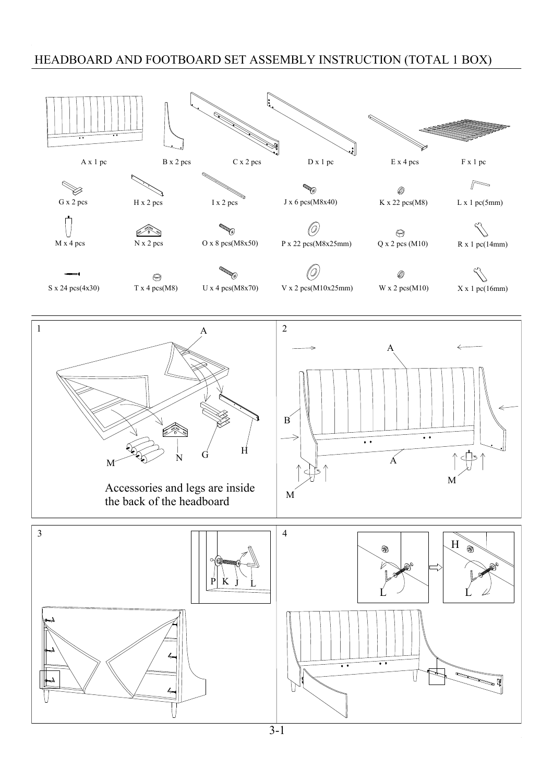## HEADBOARD AND FOOTBOARD SET ASSEMBLY INSTRUCTION (TOTAL 1 BOX)

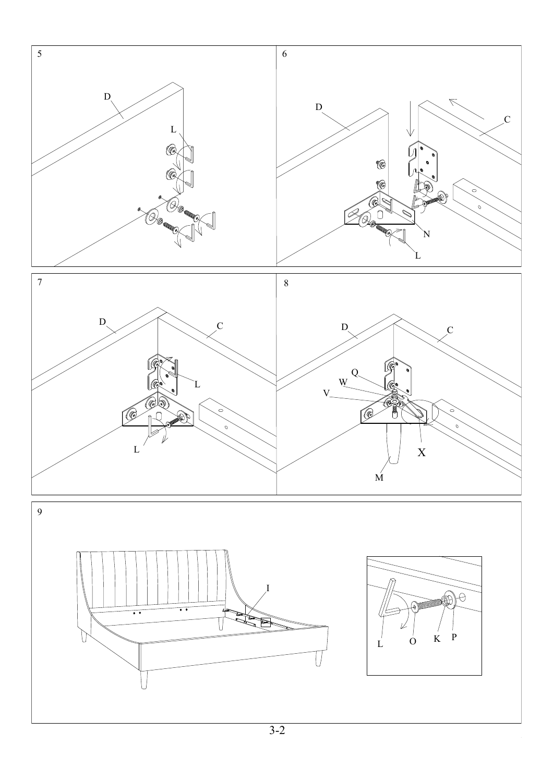